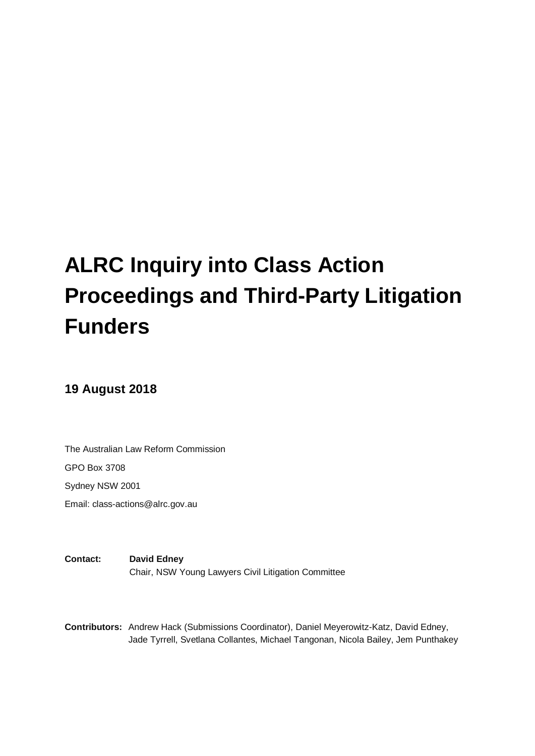# **ALRC Inquiry into Class Action Proceedings and Third-Party Litigation Funders**

# **19 August 2018**

The Australian Law Reform Commission GPO Box 3708 Sydney NSW 2001

Email: class-actions@alrc.gov.au

**Contact: David Edney**  Chair, NSW Young Lawyers Civil Litigation Committee

**Contributors:** Andrew Hack (Submissions Coordinator), Daniel Meyerowitz-Katz, David Edney, Jade Tyrrell, Svetlana Collantes, Michael Tangonan, Nicola Bailey, Jem Punthakey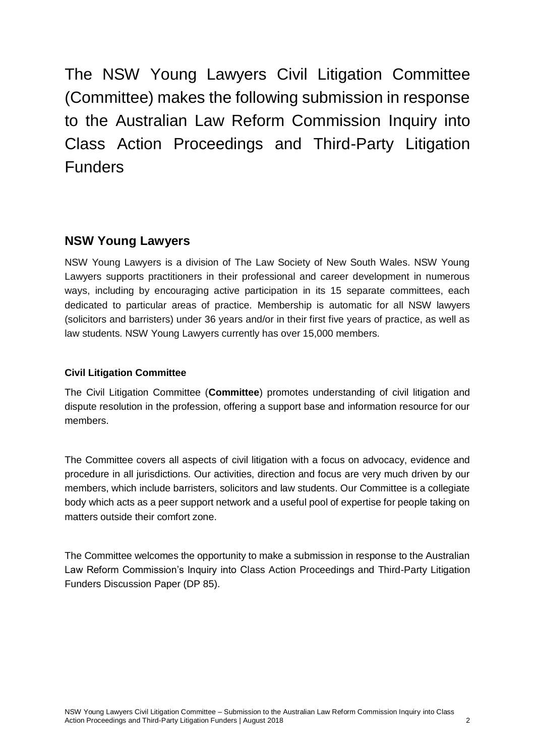The NSW Young Lawyers Civil Litigation Committee (Committee) makes the following submission in response to the Australian Law Reform Commission Inquiry into Class Action Proceedings and Third-Party Litigation Funders

# **NSW Young Lawyers**

NSW Young Lawyers is a division of The Law Society of New South Wales. NSW Young Lawyers supports practitioners in their professional and career development in numerous ways, including by encouraging active participation in its 15 separate committees, each dedicated to particular areas of practice. Membership is automatic for all NSW lawyers (solicitors and barristers) under 36 years and/or in their first five years of practice, as well as law students. NSW Young Lawyers currently has over 15,000 members.

## **Civil Litigation Committee**

The Civil Litigation Committee (**Committee**) promotes understanding of civil litigation and dispute resolution in the profession, offering a support base and information resource for our members.

The Committee covers all aspects of civil litigation with a focus on advocacy, evidence and procedure in all jurisdictions. Our activities, direction and focus are very much driven by our members, which include barristers, solicitors and law students. Our Committee is a collegiate body which acts as a peer support network and a useful pool of expertise for people taking on matters outside their comfort zone.

The Committee welcomes the opportunity to make a submission in response to the Australian Law Reform Commission's Inquiry into Class Action Proceedings and Third-Party Litigation Funders Discussion Paper (DP 85).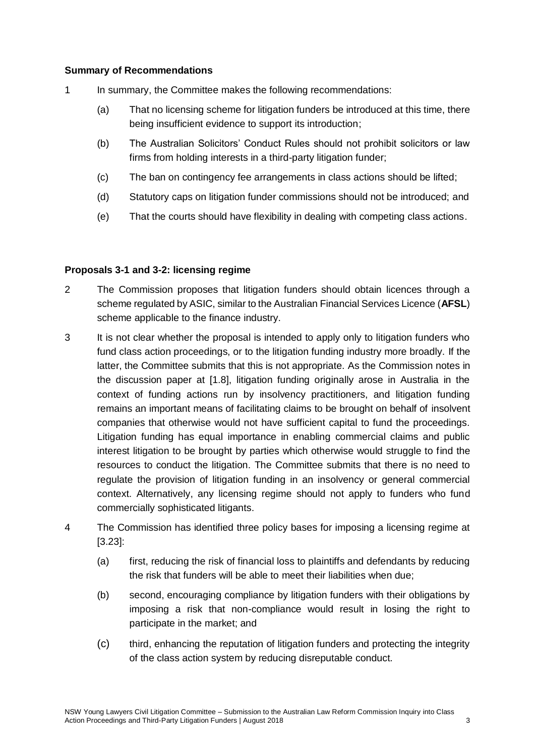#### **Summary of Recommendations**

- 1 In summary, the Committee makes the following recommendations:
	- (a) That no licensing scheme for litigation funders be introduced at this time, there being insufficient evidence to support its introduction;
	- (b) The Australian Solicitors' Conduct Rules should not prohibit solicitors or law firms from holding interests in a third-party litigation funder;
	- (c) The ban on contingency fee arrangements in class actions should be lifted;
	- (d) Statutory caps on litigation funder commissions should not be introduced; and
	- (e) That the courts should have flexibility in dealing with competing class actions.

#### **Proposals 3-1 and 3-2: licensing regime**

- 2 The Commission proposes that litigation funders should obtain licences through a scheme regulated by ASIC, similar to the Australian Financial Services Licence (**AFSL**) scheme applicable to the finance industry.
- 3 It is not clear whether the proposal is intended to apply only to litigation funders who fund class action proceedings, or to the litigation funding industry more broadly. If the latter, the Committee submits that this is not appropriate. As the Commission notes in the discussion paper at [1.8], litigation funding originally arose in Australia in the context of funding actions run by insolvency practitioners, and litigation funding remains an important means of facilitating claims to be brought on behalf of insolvent companies that otherwise would not have sufficient capital to fund the proceedings. Litigation funding has equal importance in enabling commercial claims and public interest litigation to be brought by parties which otherwise would struggle to find the resources to conduct the litigation. The Committee submits that there is no need to regulate the provision of litigation funding in an insolvency or general commercial context. Alternatively, any licensing regime should not apply to funders who fund commercially sophisticated litigants.
- 4 The Commission has identified three policy bases for imposing a licensing regime at [3.23]:
	- (a) first, reducing the risk of financial loss to plaintiffs and defendants by reducing the risk that funders will be able to meet their liabilities when due;
	- (b) second, encouraging compliance by litigation funders with their obligations by imposing a risk that non-compliance would result in losing the right to participate in the market; and
	- (c) third, enhancing the reputation of litigation funders and protecting the integrity of the class action system by reducing disreputable conduct.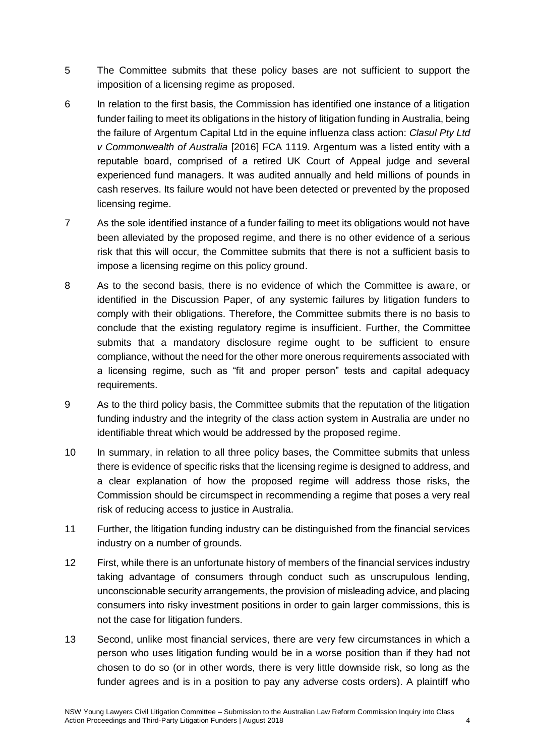- 5 The Committee submits that these policy bases are not sufficient to support the imposition of a licensing regime as proposed.
- 6 In relation to the first basis, the Commission has identified one instance of a litigation funder failing to meet its obligations in the history of litigation funding in Australia, being the failure of Argentum Capital Ltd in the equine influenza class action: *Clasul Pty Ltd v Commonwealth of Australia* [2016] FCA 1119. Argentum was a listed entity with a reputable board, comprised of a retired UK Court of Appeal judge and several experienced fund managers. It was audited annually and held millions of pounds in cash reserves. Its failure would not have been detected or prevented by the proposed licensing regime.
- 7 As the sole identified instance of a funder failing to meet its obligations would not have been alleviated by the proposed regime, and there is no other evidence of a serious risk that this will occur, the Committee submits that there is not a sufficient basis to impose a licensing regime on this policy ground.
- 8 As to the second basis, there is no evidence of which the Committee is aware, or identified in the Discussion Paper, of any systemic failures by litigation funders to comply with their obligations. Therefore, the Committee submits there is no basis to conclude that the existing regulatory regime is insufficient. Further, the Committee submits that a mandatory disclosure regime ought to be sufficient to ensure compliance, without the need for the other more onerous requirements associated with a licensing regime, such as "fit and proper person" tests and capital adequacy requirements.
- 9 As to the third policy basis, the Committee submits that the reputation of the litigation funding industry and the integrity of the class action system in Australia are under no identifiable threat which would be addressed by the proposed regime.
- 10 In summary, in relation to all three policy bases, the Committee submits that unless there is evidence of specific risks that the licensing regime is designed to address, and a clear explanation of how the proposed regime will address those risks, the Commission should be circumspect in recommending a regime that poses a very real risk of reducing access to justice in Australia.
- 11 Further, the litigation funding industry can be distinguished from the financial services industry on a number of grounds.
- 12 First, while there is an unfortunate history of members of the financial services industry taking advantage of consumers through conduct such as unscrupulous lending, unconscionable security arrangements, the provision of misleading advice, and placing consumers into risky investment positions in order to gain larger commissions, this is not the case for litigation funders.
- 13 Second, unlike most financial services, there are very few circumstances in which a person who uses litigation funding would be in a worse position than if they had not chosen to do so (or in other words, there is very little downside risk, so long as the funder agrees and is in a position to pay any adverse costs orders). A plaintiff who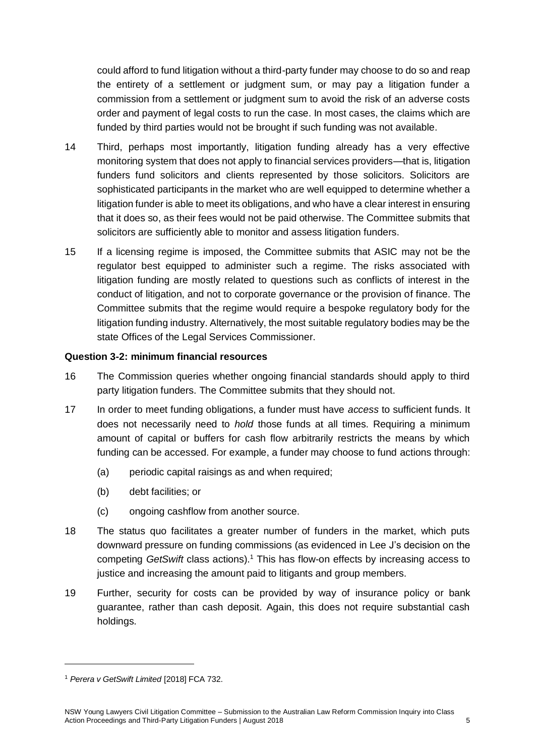could afford to fund litigation without a third-party funder may choose to do so and reap the entirety of a settlement or judgment sum, or may pay a litigation funder a commission from a settlement or judgment sum to avoid the risk of an adverse costs order and payment of legal costs to run the case. In most cases, the claims which are funded by third parties would not be brought if such funding was not available.

- 14 Third, perhaps most importantly, litigation funding already has a very effective monitoring system that does not apply to financial services providers—that is, litigation funders fund solicitors and clients represented by those solicitors. Solicitors are sophisticated participants in the market who are well equipped to determine whether a litigation funder is able to meet its obligations, and who have a clear interest in ensuring that it does so, as their fees would not be paid otherwise. The Committee submits that solicitors are sufficiently able to monitor and assess litigation funders.
- 15 If a licensing regime is imposed, the Committee submits that ASIC may not be the regulator best equipped to administer such a regime. The risks associated with litigation funding are mostly related to questions such as conflicts of interest in the conduct of litigation, and not to corporate governance or the provision of finance. The Committee submits that the regime would require a bespoke regulatory body for the litigation funding industry. Alternatively, the most suitable regulatory bodies may be the state Offices of the Legal Services Commissioner.

## **Question 3-2: minimum financial resources**

- 16 The Commission queries whether ongoing financial standards should apply to third party litigation funders. The Committee submits that they should not.
- 17 In order to meet funding obligations, a funder must have *access* to sufficient funds. It does not necessarily need to *hold* those funds at all times. Requiring a minimum amount of capital or buffers for cash flow arbitrarily restricts the means by which funding can be accessed. For example, a funder may choose to fund actions through:
	- (a) periodic capital raisings as and when required;
	- (b) debt facilities; or
	- (c) ongoing cashflow from another source.
- 18 The status quo facilitates a greater number of funders in the market, which puts downward pressure on funding commissions (as evidenced in Lee J's decision on the competing *GetSwift* class actions).<sup>1</sup> This has flow-on effects by increasing access to justice and increasing the amount paid to litigants and group members.
- 19 Further, security for costs can be provided by way of insurance policy or bank guarantee, rather than cash deposit. Again, this does not require substantial cash holdings.

<u>.</u>

<sup>1</sup> *Perera v GetSwift Limited* [2018] FCA 732.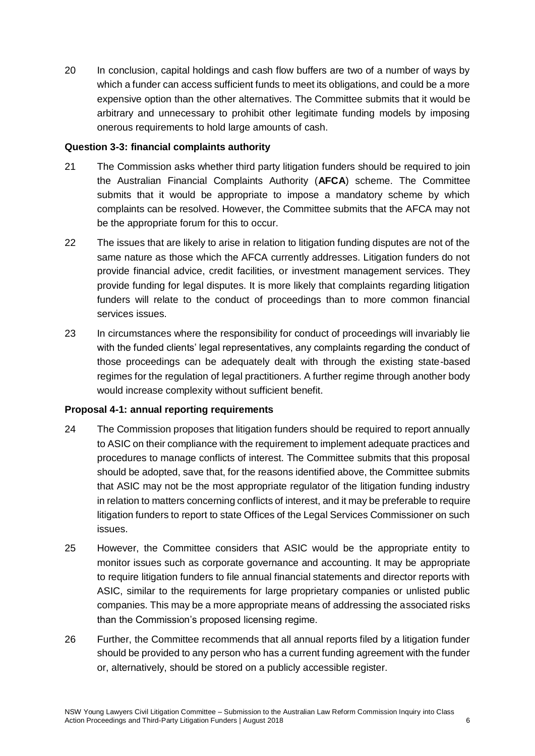20 In conclusion, capital holdings and cash flow buffers are two of a number of ways by which a funder can access sufficient funds to meet its obligations, and could be a more expensive option than the other alternatives. The Committee submits that it would be arbitrary and unnecessary to prohibit other legitimate funding models by imposing onerous requirements to hold large amounts of cash.

#### **Question 3-3: financial complaints authority**

- 21 The Commission asks whether third party litigation funders should be required to join the Australian Financial Complaints Authority (**AFCA**) scheme. The Committee submits that it would be appropriate to impose a mandatory scheme by which complaints can be resolved. However, the Committee submits that the AFCA may not be the appropriate forum for this to occur.
- 22 The issues that are likely to arise in relation to litigation funding disputes are not of the same nature as those which the AFCA currently addresses. Litigation funders do not provide financial advice, credit facilities, or investment management services. They provide funding for legal disputes. It is more likely that complaints regarding litigation funders will relate to the conduct of proceedings than to more common financial services issues.
- 23 In circumstances where the responsibility for conduct of proceedings will invariably lie with the funded clients' legal representatives, any complaints regarding the conduct of those proceedings can be adequately dealt with through the existing state-based regimes for the regulation of legal practitioners. A further regime through another body would increase complexity without sufficient benefit.

## **Proposal 4-1: annual reporting requirements**

- 24 The Commission proposes that litigation funders should be required to report annually to ASIC on their compliance with the requirement to implement adequate practices and procedures to manage conflicts of interest. The Committee submits that this proposal should be adopted, save that, for the reasons identified above, the Committee submits that ASIC may not be the most appropriate regulator of the litigation funding industry in relation to matters concerning conflicts of interest, and it may be preferable to require litigation funders to report to state Offices of the Legal Services Commissioner on such issues.
- 25 However, the Committee considers that ASIC would be the appropriate entity to monitor issues such as corporate governance and accounting. It may be appropriate to require litigation funders to file annual financial statements and director reports with ASIC, similar to the requirements for large proprietary companies or unlisted public companies. This may be a more appropriate means of addressing the associated risks than the Commission's proposed licensing regime.
- 26 Further, the Committee recommends that all annual reports filed by a litigation funder should be provided to any person who has a current funding agreement with the funder or, alternatively, should be stored on a publicly accessible register.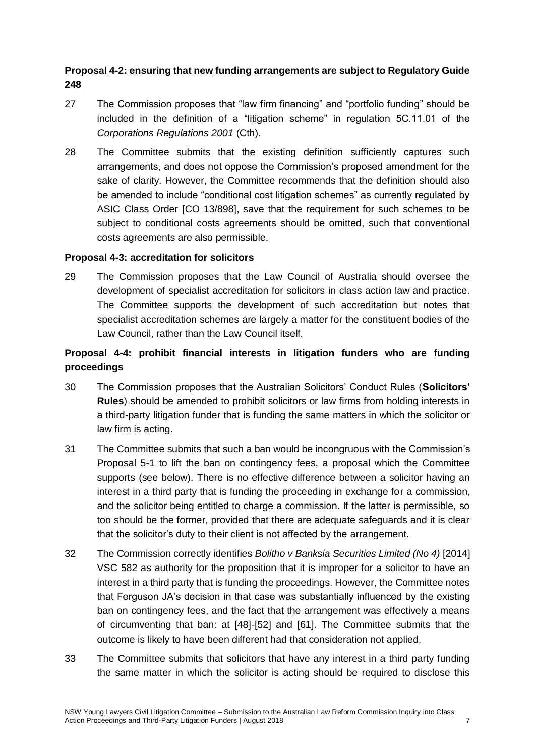## **Proposal 4-2: ensuring that new funding arrangements are subject to Regulatory Guide 248**

- 27 The Commission proposes that "law firm financing" and "portfolio funding" should be included in the definition of a "litigation scheme" in regulation 5C.11.01 of the *Corporations Regulations 2001* (Cth).
- 28 The Committee submits that the existing definition sufficiently captures such arrangements, and does not oppose the Commission's proposed amendment for the sake of clarity. However, the Committee recommends that the definition should also be amended to include "conditional cost litigation schemes" as currently regulated by ASIC Class Order [CO 13/898], save that the requirement for such schemes to be subject to conditional costs agreements should be omitted, such that conventional costs agreements are also permissible.

## **Proposal 4-3: accreditation for solicitors**

29 The Commission proposes that the Law Council of Australia should oversee the development of specialist accreditation for solicitors in class action law and practice. The Committee supports the development of such accreditation but notes that specialist accreditation schemes are largely a matter for the constituent bodies of the Law Council, rather than the Law Council itself.

# **Proposal 4-4: prohibit financial interests in litigation funders who are funding proceedings**

- 30 The Commission proposes that the Australian Solicitors' Conduct Rules (**Solicitors' Rules**) should be amended to prohibit solicitors or law firms from holding interests in a third-party litigation funder that is funding the same matters in which the solicitor or law firm is acting.
- 31 The Committee submits that such a ban would be incongruous with the Commission's Proposal 5-1 to lift the ban on contingency fees, a proposal which the Committee supports (see below). There is no effective difference between a solicitor having an interest in a third party that is funding the proceeding in exchange for a commission, and the solicitor being entitled to charge a commission. If the latter is permissible, so too should be the former, provided that there are adequate safeguards and it is clear that the solicitor's duty to their client is not affected by the arrangement.
- 32 The Commission correctly identifies *Bolitho v Banksia Securities Limited (No 4)* [2014] VSC 582 as authority for the proposition that it is improper for a solicitor to have an interest in a third party that is funding the proceedings. However, the Committee notes that Ferguson JA's decision in that case was substantially influenced by the existing ban on contingency fees, and the fact that the arrangement was effectively a means of circumventing that ban: at [48]-[52] and [61]. The Committee submits that the outcome is likely to have been different had that consideration not applied.
- 33 The Committee submits that solicitors that have any interest in a third party funding the same matter in which the solicitor is acting should be required to disclose this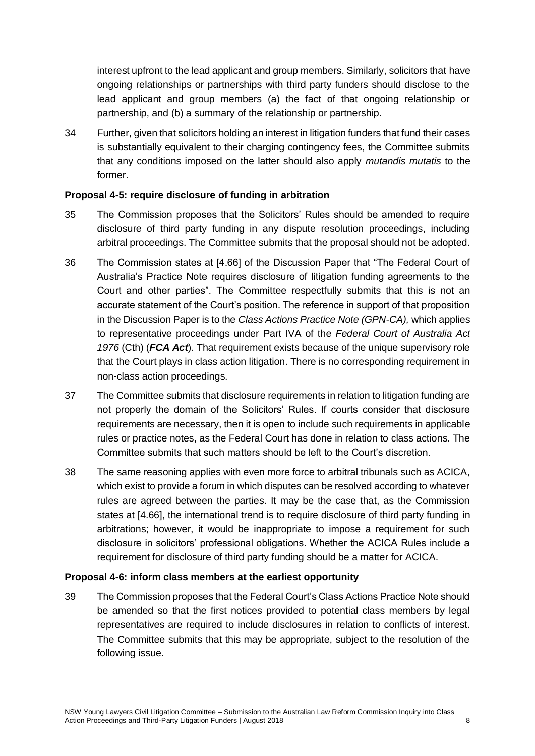interest upfront to the lead applicant and group members. Similarly, solicitors that have ongoing relationships or partnerships with third party funders should disclose to the lead applicant and group members (a) the fact of that ongoing relationship or partnership, and (b) a summary of the relationship or partnership.

34 Further, given that solicitors holding an interest in litigation funders that fund their cases is substantially equivalent to their charging contingency fees, the Committee submits that any conditions imposed on the latter should also apply *mutandis mutatis* to the former.

## **Proposal 4-5: require disclosure of funding in arbitration**

- 35 The Commission proposes that the Solicitors' Rules should be amended to require disclosure of third party funding in any dispute resolution proceedings, including arbitral proceedings. The Committee submits that the proposal should not be adopted.
- 36 The Commission states at [4.66] of the Discussion Paper that "The Federal Court of Australia's Practice Note requires disclosure of litigation funding agreements to the Court and other parties". The Committee respectfully submits that this is not an accurate statement of the Court's position. The reference in support of that proposition in the Discussion Paper is to the *Class Actions Practice Note (GPN-CA),* which applies to representative proceedings under Part IVA of the *Federal Court of Australia Act 1976* (Cth) (*FCA Act*). That requirement exists because of the unique supervisory role that the Court plays in class action litigation. There is no corresponding requirement in non-class action proceedings.
- 37 The Committee submits that disclosure requirements in relation to litigation funding are not properly the domain of the Solicitors' Rules. If courts consider that disclosure requirements are necessary, then it is open to include such requirements in applicable rules or practice notes, as the Federal Court has done in relation to class actions. The Committee submits that such matters should be left to the Court's discretion.
- 38 The same reasoning applies with even more force to arbitral tribunals such as ACICA, which exist to provide a forum in which disputes can be resolved according to whatever rules are agreed between the parties. It may be the case that, as the Commission states at [4.66], the international trend is to require disclosure of third party funding in arbitrations; however, it would be inappropriate to impose a requirement for such disclosure in solicitors' professional obligations. Whether the ACICA Rules include a requirement for disclosure of third party funding should be a matter for ACICA.

#### **Proposal 4-6: inform class members at the earliest opportunity**

39 The Commission proposes that the Federal Court's Class Actions Practice Note should be amended so that the first notices provided to potential class members by legal representatives are required to include disclosures in relation to conflicts of interest. The Committee submits that this may be appropriate, subject to the resolution of the following issue.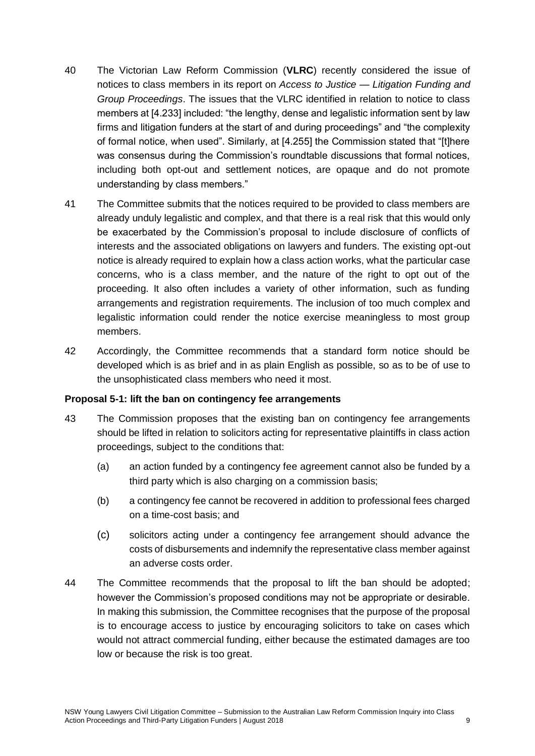- 40 The Victorian Law Reform Commission (**VLRC**) recently considered the issue of notices to class members in its report on *Access to Justice — Litigation Funding and Group Proceedings*. The issues that the VLRC identified in relation to notice to class members at [4.233] included: "the lengthy, dense and legalistic information sent by law firms and litigation funders at the start of and during proceedings" and "the complexity of formal notice, when used". Similarly, at [4.255] the Commission stated that "[t]here was consensus during the Commission's roundtable discussions that formal notices, including both opt-out and settlement notices, are opaque and do not promote understanding by class members."
- 41 The Committee submits that the notices required to be provided to class members are already unduly legalistic and complex, and that there is a real risk that this would only be exacerbated by the Commission's proposal to include disclosure of conflicts of interests and the associated obligations on lawyers and funders. The existing opt-out notice is already required to explain how a class action works, what the particular case concerns, who is a class member, and the nature of the right to opt out of the proceeding. It also often includes a variety of other information, such as funding arrangements and registration requirements. The inclusion of too much complex and legalistic information could render the notice exercise meaningless to most group members.
- 42 Accordingly, the Committee recommends that a standard form notice should be developed which is as brief and in as plain English as possible, so as to be of use to the unsophisticated class members who need it most.

#### **Proposal 5-1: lift the ban on contingency fee arrangements**

- 43 The Commission proposes that the existing ban on contingency fee arrangements should be lifted in relation to solicitors acting for representative plaintiffs in class action proceedings, subject to the conditions that:
	- (a) an action funded by a contingency fee agreement cannot also be funded by a third party which is also charging on a commission basis;
	- (b) a contingency fee cannot be recovered in addition to professional fees charged on a time-cost basis; and
	- (c) solicitors acting under a contingency fee arrangement should advance the costs of disbursements and indemnify the representative class member against an adverse costs order.
- 44 The Committee recommends that the proposal to lift the ban should be adopted; however the Commission's proposed conditions may not be appropriate or desirable. In making this submission, the Committee recognises that the purpose of the proposal is to encourage access to justice by encouraging solicitors to take on cases which would not attract commercial funding, either because the estimated damages are too low or because the risk is too great.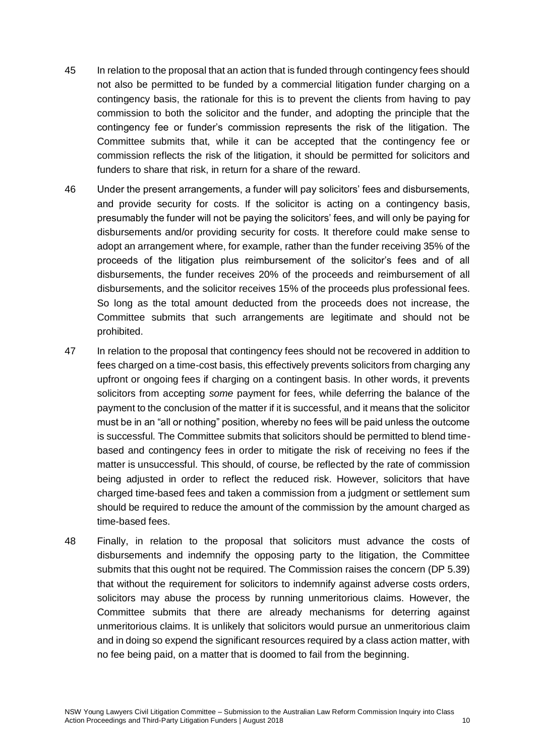- 45 In relation to the proposal that an action that is funded through contingency fees should not also be permitted to be funded by a commercial litigation funder charging on a contingency basis, the rationale for this is to prevent the clients from having to pay commission to both the solicitor and the funder, and adopting the principle that the contingency fee or funder's commission represents the risk of the litigation. The Committee submits that, while it can be accepted that the contingency fee or commission reflects the risk of the litigation, it should be permitted for solicitors and funders to share that risk, in return for a share of the reward.
- 46 Under the present arrangements, a funder will pay solicitors' fees and disbursements, and provide security for costs. If the solicitor is acting on a contingency basis, presumably the funder will not be paying the solicitors' fees, and will only be paying for disbursements and/or providing security for costs. It therefore could make sense to adopt an arrangement where, for example, rather than the funder receiving 35% of the proceeds of the litigation plus reimbursement of the solicitor's fees and of all disbursements, the funder receives 20% of the proceeds and reimbursement of all disbursements, and the solicitor receives 15% of the proceeds plus professional fees. So long as the total amount deducted from the proceeds does not increase, the Committee submits that such arrangements are legitimate and should not be prohibited.
- 47 In relation to the proposal that contingency fees should not be recovered in addition to fees charged on a time-cost basis, this effectively prevents solicitors from charging any upfront or ongoing fees if charging on a contingent basis. In other words, it prevents solicitors from accepting *some* payment for fees, while deferring the balance of the payment to the conclusion of the matter if it is successful, and it means that the solicitor must be in an "all or nothing" position, whereby no fees will be paid unless the outcome is successful. The Committee submits that solicitors should be permitted to blend timebased and contingency fees in order to mitigate the risk of receiving no fees if the matter is unsuccessful. This should, of course, be reflected by the rate of commission being adjusted in order to reflect the reduced risk. However, solicitors that have charged time-based fees and taken a commission from a judgment or settlement sum should be required to reduce the amount of the commission by the amount charged as time-based fees.
- 48 Finally, in relation to the proposal that solicitors must advance the costs of disbursements and indemnify the opposing party to the litigation, the Committee submits that this ought not be required. The Commission raises the concern (DP 5.39) that without the requirement for solicitors to indemnify against adverse costs orders, solicitors may abuse the process by running unmeritorious claims. However, the Committee submits that there are already mechanisms for deterring against unmeritorious claims. It is unlikely that solicitors would pursue an unmeritorious claim and in doing so expend the significant resources required by a class action matter, with no fee being paid, on a matter that is doomed to fail from the beginning.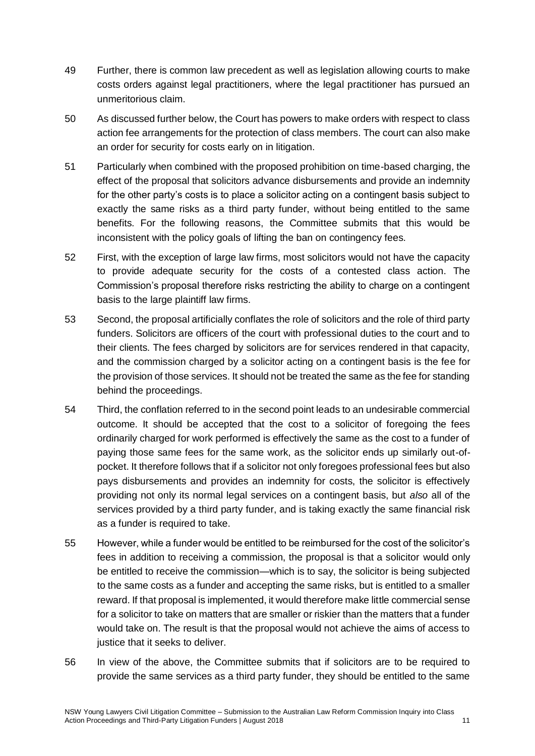- 49 Further, there is common law precedent as well as legislation allowing courts to make costs orders against legal practitioners, where the legal practitioner has pursued an unmeritorious claim.
- 50 As discussed further below, the Court has powers to make orders with respect to class action fee arrangements for the protection of class members. The court can also make an order for security for costs early on in litigation.
- 51 Particularly when combined with the proposed prohibition on time-based charging, the effect of the proposal that solicitors advance disbursements and provide an indemnity for the other party's costs is to place a solicitor acting on a contingent basis subject to exactly the same risks as a third party funder, without being entitled to the same benefits. For the following reasons, the Committee submits that this would be inconsistent with the policy goals of lifting the ban on contingency fees.
- 52 First, with the exception of large law firms, most solicitors would not have the capacity to provide adequate security for the costs of a contested class action. The Commission's proposal therefore risks restricting the ability to charge on a contingent basis to the large plaintiff law firms.
- 53 Second, the proposal artificially conflates the role of solicitors and the role of third party funders. Solicitors are officers of the court with professional duties to the court and to their clients. The fees charged by solicitors are for services rendered in that capacity, and the commission charged by a solicitor acting on a contingent basis is the fee for the provision of those services. It should not be treated the same as the fee for standing behind the proceedings.
- 54 Third, the conflation referred to in the second point leads to an undesirable commercial outcome. It should be accepted that the cost to a solicitor of foregoing the fees ordinarily charged for work performed is effectively the same as the cost to a funder of paying those same fees for the same work, as the solicitor ends up similarly out-ofpocket. It therefore follows that if a solicitor not only foregoes professional fees but also pays disbursements and provides an indemnity for costs, the solicitor is effectively providing not only its normal legal services on a contingent basis, but *also* all of the services provided by a third party funder, and is taking exactly the same financial risk as a funder is required to take.
- 55 However, while a funder would be entitled to be reimbursed for the cost of the solicitor's fees in addition to receiving a commission, the proposal is that a solicitor would only be entitled to receive the commission—which is to say, the solicitor is being subjected to the same costs as a funder and accepting the same risks, but is entitled to a smaller reward. If that proposal is implemented, it would therefore make little commercial sense for a solicitor to take on matters that are smaller or riskier than the matters that a funder would take on. The result is that the proposal would not achieve the aims of access to justice that it seeks to deliver.
- 56 In view of the above, the Committee submits that if solicitors are to be required to provide the same services as a third party funder, they should be entitled to the same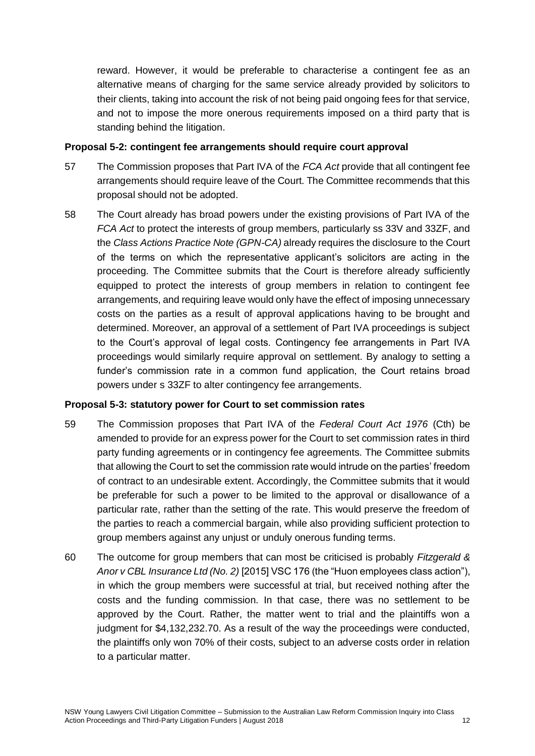reward. However, it would be preferable to characterise a contingent fee as an alternative means of charging for the same service already provided by solicitors to their clients, taking into account the risk of not being paid ongoing fees for that service, and not to impose the more onerous requirements imposed on a third party that is standing behind the litigation.

#### **Proposal 5-2: contingent fee arrangements should require court approval**

- 57 The Commission proposes that Part IVA of the *FCA Act* provide that all contingent fee arrangements should require leave of the Court. The Committee recommends that this proposal should not be adopted.
- 58 The Court already has broad powers under the existing provisions of Part IVA of the *FCA Act* to protect the interests of group members, particularly ss 33V and 33ZF, and the *Class Actions Practice Note (GPN-CA)* already requires the disclosure to the Court of the terms on which the representative applicant's solicitors are acting in the proceeding. The Committee submits that the Court is therefore already sufficiently equipped to protect the interests of group members in relation to contingent fee arrangements, and requiring leave would only have the effect of imposing unnecessary costs on the parties as a result of approval applications having to be brought and determined. Moreover, an approval of a settlement of Part IVA proceedings is subject to the Court's approval of legal costs. Contingency fee arrangements in Part IVA proceedings would similarly require approval on settlement. By analogy to setting a funder's commission rate in a common fund application, the Court retains broad powers under s 33ZF to alter contingency fee arrangements.

## **Proposal 5-3: statutory power for Court to set commission rates**

- 59 The Commission proposes that Part IVA of the *Federal Court Act 1976* (Cth) be amended to provide for an express power for the Court to set commission rates in third party funding agreements or in contingency fee agreements. The Committee submits that allowing the Court to set the commission rate would intrude on the parties' freedom of contract to an undesirable extent. Accordingly, the Committee submits that it would be preferable for such a power to be limited to the approval or disallowance of a particular rate, rather than the setting of the rate. This would preserve the freedom of the parties to reach a commercial bargain, while also providing sufficient protection to group members against any unjust or unduly onerous funding terms.
- 60 The outcome for group members that can most be criticised is probably *Fitzgerald & Anor v CBL Insurance Ltd (No. 2)* [2015] VSC 176 (the "Huon employees class action"), in which the group members were successful at trial, but received nothing after the costs and the funding commission. In that case, there was no settlement to be approved by the Court. Rather, the matter went to trial and the plaintiffs won a judgment for \$4,132,232.70. As a result of the way the proceedings were conducted, the plaintiffs only won 70% of their costs, subject to an adverse costs order in relation to a particular matter.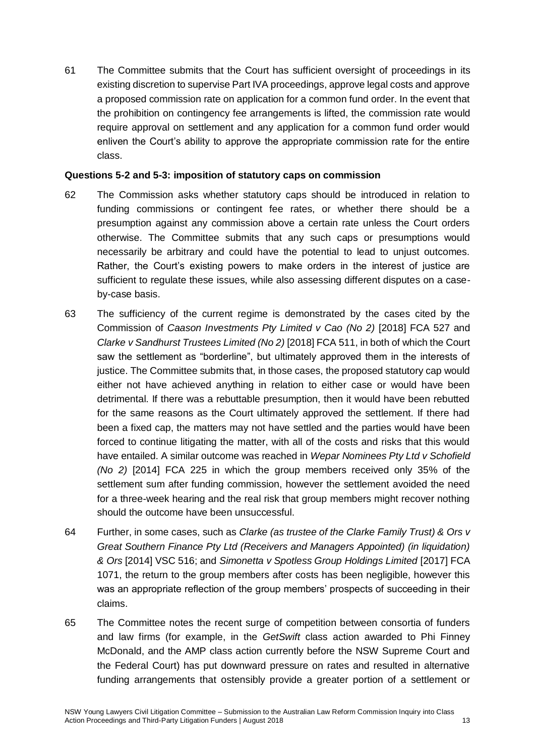61 The Committee submits that the Court has sufficient oversight of proceedings in its existing discretion to supervise Part IVA proceedings, approve legal costs and approve a proposed commission rate on application for a common fund order. In the event that the prohibition on contingency fee arrangements is lifted, the commission rate would require approval on settlement and any application for a common fund order would enliven the Court's ability to approve the appropriate commission rate for the entire class.

#### **Questions 5-2 and 5-3: imposition of statutory caps on commission**

- 62 The Commission asks whether statutory caps should be introduced in relation to funding commissions or contingent fee rates, or whether there should be a presumption against any commission above a certain rate unless the Court orders otherwise. The Committee submits that any such caps or presumptions would necessarily be arbitrary and could have the potential to lead to unjust outcomes. Rather, the Court's existing powers to make orders in the interest of justice are sufficient to regulate these issues, while also assessing different disputes on a caseby-case basis.
- 63 The sufficiency of the current regime is demonstrated by the cases cited by the Commission of *Caason Investments Pty Limited v Cao (No 2)* [2018] FCA 527 and *Clarke v Sandhurst Trustees Limited (No 2)* [2018] FCA 511, in both of which the Court saw the settlement as "borderline", but ultimately approved them in the interests of justice. The Committee submits that, in those cases, the proposed statutory cap would either not have achieved anything in relation to either case or would have been detrimental. If there was a rebuttable presumption, then it would have been rebutted for the same reasons as the Court ultimately approved the settlement. If there had been a fixed cap, the matters may not have settled and the parties would have been forced to continue litigating the matter, with all of the costs and risks that this would have entailed. A similar outcome was reached in *Wepar Nominees Pty Ltd v Schofield (No 2)* [2014] FCA 225 in which the group members received only 35% of the settlement sum after funding commission, however the settlement avoided the need for a three-week hearing and the real risk that group members might recover nothing should the outcome have been unsuccessful.
- 64 Further, in some cases, such as *Clarke (as trustee of the Clarke Family Trust) & Ors v Great Southern Finance Pty Ltd (Receivers and Managers Appointed) (in liquidation) & Ors* [2014] VSC 516; and *Simonetta v Spotless Group Holdings Limited* [2017] FCA 1071, the return to the group members after costs has been negligible, however this was an appropriate reflection of the group members' prospects of succeeding in their claims.
- 65 The Committee notes the recent surge of competition between consortia of funders and law firms (for example, in the *GetSwift* class action awarded to Phi Finney McDonald, and the AMP class action currently before the NSW Supreme Court and the Federal Court) has put downward pressure on rates and resulted in alternative funding arrangements that ostensibly provide a greater portion of a settlement or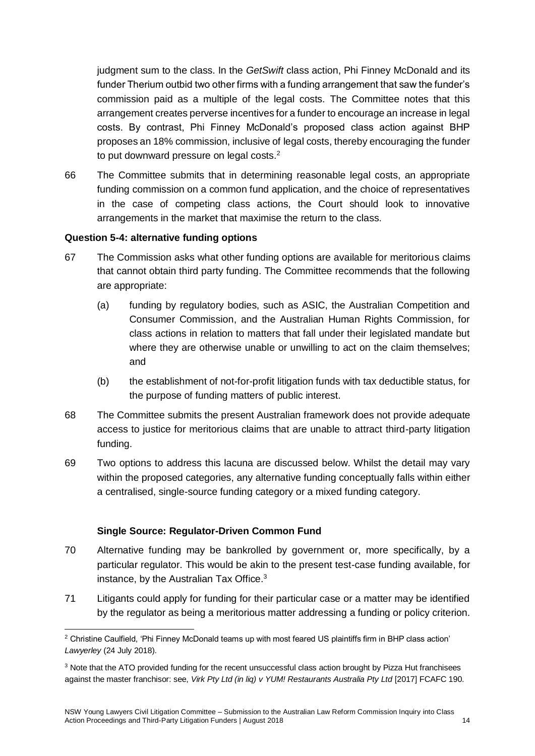judgment sum to the class. In the *GetSwift* class action, Phi Finney McDonald and its funder Therium outbid two other firms with a funding arrangement that saw the funder's commission paid as a multiple of the legal costs. The Committee notes that this arrangement creates perverse incentives for a funder to encourage an increase in legal costs. By contrast, Phi Finney McDonald's proposed class action against BHP proposes an 18% commission, inclusive of legal costs, thereby encouraging the funder to put downward pressure on legal costs.<sup>2</sup>

66 The Committee submits that in determining reasonable legal costs, an appropriate funding commission on a common fund application, and the choice of representatives in the case of competing class actions, the Court should look to innovative arrangements in the market that maximise the return to the class.

#### **Question 5-4: alternative funding options**

- 67 The Commission asks what other funding options are available for meritorious claims that cannot obtain third party funding. The Committee recommends that the following are appropriate:
	- (a) funding by regulatory bodies, such as ASIC, the Australian Competition and Consumer Commission, and the Australian Human Rights Commission, for class actions in relation to matters that fall under their legislated mandate but where they are otherwise unable or unwilling to act on the claim themselves; and
	- (b) the establishment of not-for-profit litigation funds with tax deductible status, for the purpose of funding matters of public interest.
- 68 The Committee submits the present Australian framework does not provide adequate access to justice for meritorious claims that are unable to attract third-party litigation funding.
- 69 Two options to address this lacuna are discussed below. Whilst the detail may vary within the proposed categories, any alternative funding conceptually falls within either a centralised, single-source funding category or a mixed funding category.

## **Single Source: Regulator-Driven Common Fund**

- 70 Alternative funding may be bankrolled by government or, more specifically, by a particular regulator. This would be akin to the present test-case funding available, for instance, by the Australian Tax Office.<sup>3</sup>
- 71 Litigants could apply for funding for their particular case or a matter may be identified by the regulator as being a meritorious matter addressing a funding or policy criterion.

<sup>&</sup>lt;u>.</u> <sup>2</sup> Christine Caulfield, 'Phi Finney McDonald teams up with most feared US plaintiffs firm in BHP class action' *Lawyerley* (24 July 2018).

<sup>&</sup>lt;sup>3</sup> Note that the ATO provided funding for the recent unsuccessful class action brought by Pizza Hut franchisees against the master franchisor: see, *Virk Pty Ltd (in liq) v YUM! Restaurants Australia Pty Ltd* [2017] FCAFC 190.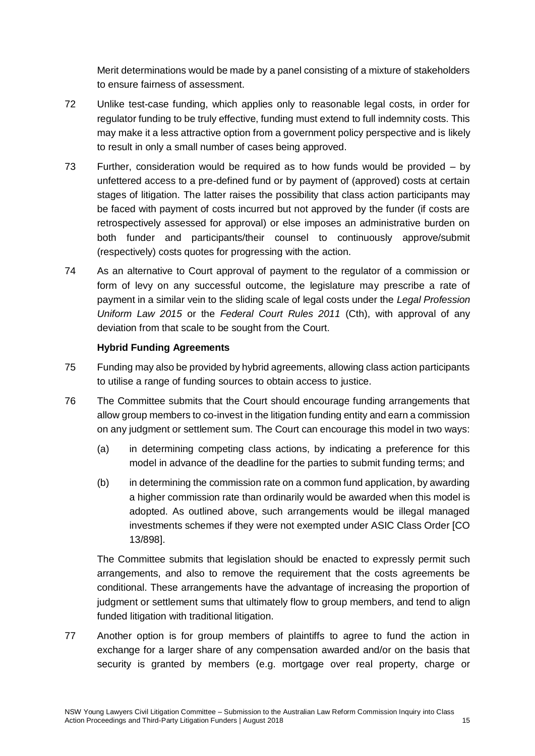Merit determinations would be made by a panel consisting of a mixture of stakeholders to ensure fairness of assessment.

- 72 Unlike test-case funding, which applies only to reasonable legal costs, in order for regulator funding to be truly effective, funding must extend to full indemnity costs. This may make it a less attractive option from a government policy perspective and is likely to result in only a small number of cases being approved.
- 73 Further, consideration would be required as to how funds would be provided by unfettered access to a pre-defined fund or by payment of (approved) costs at certain stages of litigation. The latter raises the possibility that class action participants may be faced with payment of costs incurred but not approved by the funder (if costs are retrospectively assessed for approval) or else imposes an administrative burden on both funder and participants/their counsel to continuously approve/submit (respectively) costs quotes for progressing with the action.
- 74 As an alternative to Court approval of payment to the regulator of a commission or form of levy on any successful outcome, the legislature may prescribe a rate of payment in a similar vein to the sliding scale of legal costs under the *Legal Profession Uniform Law 2015* or the *Federal Court Rules 2011* (Cth), with approval of any deviation from that scale to be sought from the Court.

## **Hybrid Funding Agreements**

- 75 Funding may also be provided by hybrid agreements, allowing class action participants to utilise a range of funding sources to obtain access to justice.
- 76 The Committee submits that the Court should encourage funding arrangements that allow group members to co-invest in the litigation funding entity and earn a commission on any judgment or settlement sum. The Court can encourage this model in two ways:
	- (a) in determining competing class actions, by indicating a preference for this model in advance of the deadline for the parties to submit funding terms; and
	- (b) in determining the commission rate on a common fund application, by awarding a higher commission rate than ordinarily would be awarded when this model is adopted. As outlined above, such arrangements would be illegal managed investments schemes if they were not exempted under ASIC Class Order [CO 13/898].

The Committee submits that legislation should be enacted to expressly permit such arrangements, and also to remove the requirement that the costs agreements be conditional. These arrangements have the advantage of increasing the proportion of judgment or settlement sums that ultimately flow to group members, and tend to align funded litigation with traditional litigation.

77 Another option is for group members of plaintiffs to agree to fund the action in exchange for a larger share of any compensation awarded and/or on the basis that security is granted by members (e.g. mortgage over real property, charge or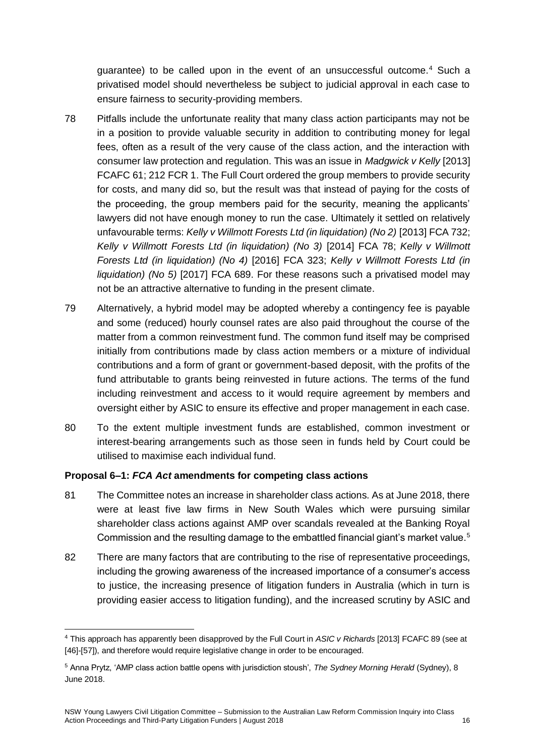guarantee) to be called upon in the event of an unsuccessful outcome.<sup>4</sup> Such a privatised model should nevertheless be subject to judicial approval in each case to ensure fairness to security-providing members.

- 78 Pitfalls include the unfortunate reality that many class action participants may not be in a position to provide valuable security in addition to contributing money for legal fees, often as a result of the very cause of the class action, and the interaction with consumer law protection and regulation. This was an issue in *Madgwick v Kelly* [2013] FCAFC 61; 212 FCR 1. The Full Court ordered the group members to provide security for costs, and many did so, but the result was that instead of paying for the costs of the proceeding, the group members paid for the security, meaning the applicants' lawyers did not have enough money to run the case. Ultimately it settled on relatively unfavourable terms: *Kelly v Willmott Forests Ltd (in liquidation) (No 2)* [2013] FCA 732; *Kelly v Willmott Forests Ltd (in liquidation) (No 3)* [2014] FCA 78; *Kelly v Willmott Forests Ltd (in liquidation) (No 4)* [2016] FCA 323; *Kelly v Willmott Forests Ltd (in liquidation) (No 5)* [2017] FCA 689. For these reasons such a privatised model may not be an attractive alternative to funding in the present climate.
- 79 Alternatively, a hybrid model may be adopted whereby a contingency fee is payable and some (reduced) hourly counsel rates are also paid throughout the course of the matter from a common reinvestment fund. The common fund itself may be comprised initially from contributions made by class action members or a mixture of individual contributions and a form of grant or government-based deposit, with the profits of the fund attributable to grants being reinvested in future actions. The terms of the fund including reinvestment and access to it would require agreement by members and oversight either by ASIC to ensure its effective and proper management in each case.
- 80 To the extent multiple investment funds are established, common investment or interest-bearing arrangements such as those seen in funds held by Court could be utilised to maximise each individual fund.

## **Proposal 6–1:** *FCA Act* **amendments for competing class actions**

- 81 The Committee notes an increase in shareholder class actions. As at June 2018, there were at least five law firms in New South Wales which were pursuing similar shareholder class actions against AMP over scandals revealed at the Banking Royal Commission and the resulting damage to the embattled financial giant's market value.<sup>5</sup>
- 82 There are many factors that are contributing to the rise of representative proceedings, including the growing awareness of the increased importance of a consumer's access to justice, the increasing presence of litigation funders in Australia (which in turn is providing easier access to litigation funding), and the increased scrutiny by ASIC and

<sup>&</sup>lt;u>.</u> <sup>4</sup> This approach has apparently been disapproved by the Full Court in *ASIC v Richards* [2013] FCAFC 89 (see at [46]-[57]), and therefore would require legislative change in order to be encouraged.

<sup>5</sup> Anna Prytz, 'AMP class action battle opens with jurisdiction stoush', *The Sydney Morning Herald* (Sydney), 8 June 2018.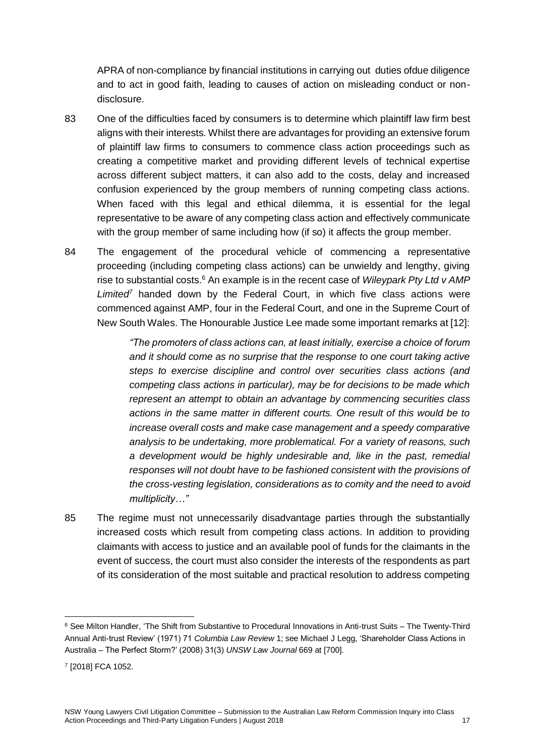APRA of non-compliance by financial institutions in carrying out duties ofdue diligence and to act in good faith, leading to causes of action on misleading conduct or nondisclosure.

- 83 One of the difficulties faced by consumers is to determine which plaintiff law firm best aligns with their interests. Whilst there are advantages for providing an extensive forum of plaintiff law firms to consumers to commence class action proceedings such as creating a competitive market and providing different levels of technical expertise across different subject matters, it can also add to the costs, delay and increased confusion experienced by the group members of running competing class actions. When faced with this legal and ethical dilemma, it is essential for the legal representative to be aware of any competing class action and effectively communicate with the group member of same including how (if so) it affects the group member.
- 84 The engagement of the procedural vehicle of commencing a representative proceeding (including competing class actions) can be unwieldy and lengthy, giving rise to substantial costs.<sup>6</sup> An example is in the recent case of *Wileypark Pty Ltd v AMP Limited<sup>7</sup>* handed down by the Federal Court, in which five class actions were commenced against AMP, four in the Federal Court, and one in the Supreme Court of New South Wales. The Honourable Justice Lee made some important remarks at [12]:

*"The promoters of class actions can, at least initially, exercise a choice of forum and it should come as no surprise that the response to one court taking active steps to exercise discipline and control over securities class actions (and competing class actions in particular), may be for decisions to be made which represent an attempt to obtain an advantage by commencing securities class actions in the same matter in different courts. One result of this would be to increase overall costs and make case management and a speedy comparative analysis to be undertaking, more problematical. For a variety of reasons, such a development would be highly undesirable and, like in the past, remedial responses will not doubt have to be fashioned consistent with the provisions of the cross-vesting legislation, considerations as to comity and the need to avoid multiplicity…"*

85 The regime must not unnecessarily disadvantage parties through the substantially increased costs which result from competing class actions. In addition to providing claimants with access to justice and an available pool of funds for the claimants in the event of success, the court must also consider the interests of the respondents as part of its consideration of the most suitable and practical resolution to address competing

<u>.</u>

<sup>6</sup> See Milton Handler, 'The Shift from Substantive to Procedural Innovations in Anti-trust Suits – The Twenty-Third Annual Anti-trust Review' (1971) 71 *Columbia Law Review* 1; see Michael J Legg, 'Shareholder Class Actions in Australia – The Perfect Storm?' (2008) 31(3) *UNSW Law Journal* 669 at [700].

<sup>7</sup> [2018] FCA 1052.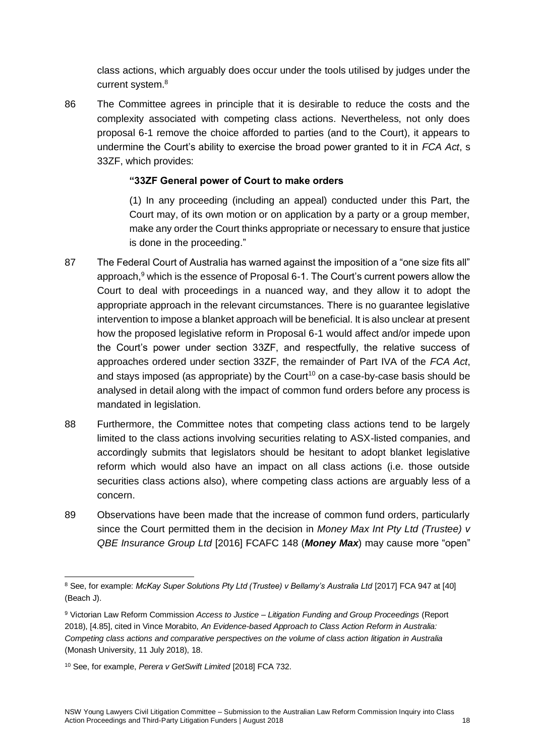class actions, which arguably does occur under the tools utilised by judges under the current system.<sup>8</sup>

86 The Committee agrees in principle that it is desirable to reduce the costs and the complexity associated with competing class actions. Nevertheless, not only does proposal 6-1 remove the choice afforded to parties (and to the Court), it appears to undermine the Court's ability to exercise the broad power granted to it in *FCA Act*, s 33ZF, which provides:

## **"33ZF General power of Court to make orders**

(1) In any proceeding (including an appeal) conducted under this Part, the Court may, of its own motion or on application by a party or a group member, make any order the Court thinks appropriate or necessary to ensure that justice is done in the proceeding."

- 87 The Federal Court of Australia has warned against the imposition of a "one size fits all" approach, $9$  which is the essence of Proposal 6-1. The Court's current powers allow the Court to deal with proceedings in a nuanced way, and they allow it to adopt the appropriate approach in the relevant circumstances. There is no guarantee legislative intervention to impose a blanket approach will be beneficial. It is also unclear at present how the proposed legislative reform in Proposal 6-1 would affect and/or impede upon the Court's power under section 33ZF, and respectfully, the relative success of approaches ordered under section 33ZF, the remainder of Part IVA of the *FCA Act*, and stays imposed (as appropriate) by the Court<sup>10</sup> on a case-by-case basis should be analysed in detail along with the impact of common fund orders before any process is mandated in legislation.
- 88 Furthermore, the Committee notes that competing class actions tend to be largely limited to the class actions involving securities relating to ASX-listed companies, and accordingly submits that legislators should be hesitant to adopt blanket legislative reform which would also have an impact on all class actions (i.e. those outside securities class actions also), where competing class actions are arguably less of a concern.
- 89 Observations have been made that the increase of common fund orders, particularly since the Court permitted them in the decision in *Money Max Int Pty Ltd (Trustee) v QBE Insurance Group Ltd* [2016] FCAFC 148 (*Money Max*) may cause more "open"

<sup>&</sup>lt;u>.</u> <sup>8</sup> See, for example: *McKay Super Solutions Pty Ltd (Trustee) v Bellamy's Australia Ltd [2017] FCA 947 at [40]* (Beach J).

<sup>9</sup> Victorian Law Reform Commission *Access to Justice – Litigation Funding and Group Proceedings* (Report 2018), [4.85], cited in Vince Morabito, *An Evidence-based Approach to Class Action Reform in Australia: Competing class actions and comparative perspectives on the volume of class action litigation in Australia*  (Monash University, 11 July 2018), 18.

<sup>10</sup> See, for example, *Perera v GetSwift Limited* [2018] FCA 732.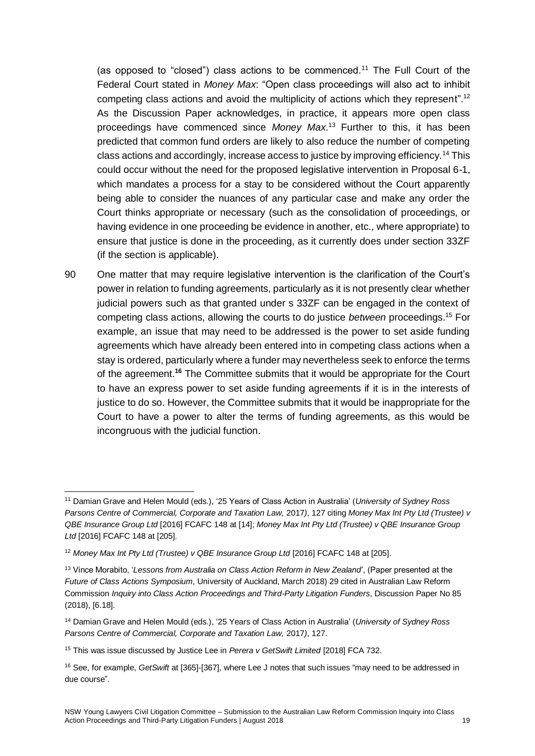(as opposed to "closed") class actions to be commenced.<sup>11</sup> The Full Court of the Federal Court stated in *Money Max*: "Open class proceedings will also act to inhibit competing class actions and avoid the multiplicity of actions which they represent".<sup>12</sup> As the Discussion Paper acknowledges, in practice, it appears more open class proceedings have commenced since *Money Max*. <sup>13</sup> Further to this, it has been predicted that common fund orders are likely to also reduce the number of competing class actions and accordingly, increase access to justice by improving efficiency.<sup>14</sup> This could occur without the need for the proposed legislative intervention in Proposal 6-1, which mandates a process for a stay to be considered without the Court apparently being able to consider the nuances of any particular case and make any order the Court thinks appropriate or necessary (such as the consolidation of proceedings, or having evidence in one proceeding be evidence in another, etc., where appropriate) to ensure that justice is done in the proceeding, as it currently does under section 33ZF (if the section is applicable).

90 One matter that may require legislative intervention is the clarification of the Court's power in relation to funding agreements, particularly as it is not presently clear whether judicial powers such as that granted under s 33ZF can be engaged in the context of competing class actions, allowing the courts to do justice *between* proceedings.<sup>15</sup> For example, an issue that may need to be addressed is the power to set aside funding agreements which have already been entered into in competing class actions when a stay is ordered, particularly where a funder may nevertheless seek to enforce the terms of the agreement.**<sup>16</sup>** The Committee submits that it would be appropriate for the Court to have an express power to set aside funding agreements if it is in the interests of justice to do so. However, the Committee submits that it would be inappropriate for the Court to have a power to alter the terms of funding agreements, as this would be incongruous with the judicial function.

<sup>&</sup>lt;u>.</u> <sup>11</sup> Damian Grave and Helen Mould (eds.), '25 Years of Class Action in Australia' (*University of Sydney Ross Parsons Centre of Commercial, Corporate and Taxation Law,* 2017*)*, 127 citing *Money Max Int Pty Ltd (Trustee) v QBE Insurance Group Ltd* [2016] FCAFC 148 at [14]; *Money Max Int Pty Ltd (Trustee) v QBE Insurance Group Ltd* [2016] FCAFC 148 at [205].

<sup>&</sup>lt;sup>12</sup> Money Max Int Pty Ltd (Trustee) v QBE Insurance Group Ltd [2016] FCAFC 148 at [205].

<sup>13</sup> Vince Morabito, '*Lessons from Australia on Class Action Reform in New Zealand*', (Paper presented at the *Future of Class Actions Symposium*, University of Auckland, March 2018) 29 cited in Australian Law Reform Commission *Inquiry into Class Action Proceedings and Third-Party Litigation Funders*, Discussion Paper No 85 (2018), [6.18].

<sup>14</sup> Damian Grave and Helen Mould (eds.), '25 Years of Class Action in Australia' (*University of Sydney Ross Parsons Centre of Commercial, Corporate and Taxation Law,* 2017*)*, 127.

<sup>15</sup> This was issue discussed by Justice Lee in *Perera v GetSwift Limited* [2018] FCA 732.

<sup>16</sup> See, for example, *GetSwift* at [365]-[367], where Lee J notes that such issues "may need to be addressed in due course".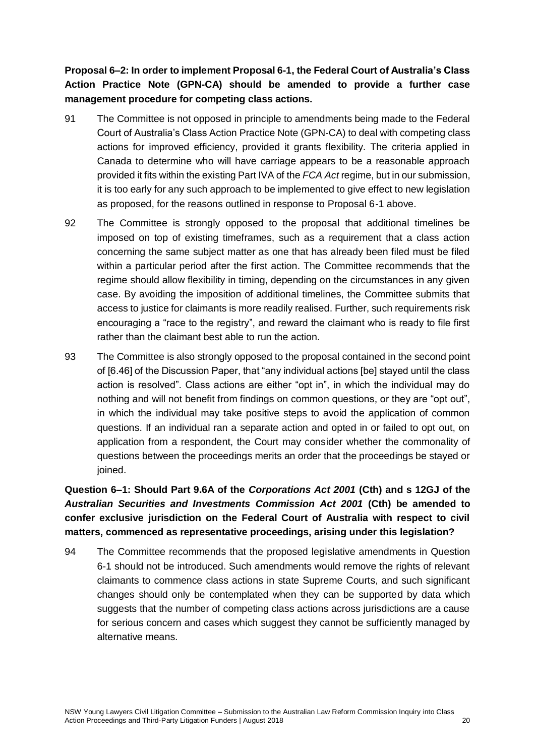**Proposal 6–2: In order to implement Proposal 6-1, the Federal Court of Australia's Class Action Practice Note (GPN-CA) should be amended to provide a further case management procedure for competing class actions.** 

- 91 The Committee is not opposed in principle to amendments being made to the Federal Court of Australia's Class Action Practice Note (GPN-CA) to deal with competing class actions for improved efficiency, provided it grants flexibility. The criteria applied in Canada to determine who will have carriage appears to be a reasonable approach provided it fits within the existing Part IVA of the *FCA Act* regime, but in our submission, it is too early for any such approach to be implemented to give effect to new legislation as proposed, for the reasons outlined in response to Proposal 6-1 above.
- 92 The Committee is strongly opposed to the proposal that additional timelines be imposed on top of existing timeframes, such as a requirement that a class action concerning the same subject matter as one that has already been filed must be filed within a particular period after the first action. The Committee recommends that the regime should allow flexibility in timing, depending on the circumstances in any given case. By avoiding the imposition of additional timelines, the Committee submits that access to justice for claimants is more readily realised. Further, such requirements risk encouraging a "race to the registry", and reward the claimant who is ready to file first rather than the claimant best able to run the action.
- 93 The Committee is also strongly opposed to the proposal contained in the second point of [6.46] of the Discussion Paper, that "any individual actions [be] stayed until the class action is resolved". Class actions are either "opt in", in which the individual may do nothing and will not benefit from findings on common questions, or they are "opt out", in which the individual may take positive steps to avoid the application of common questions. If an individual ran a separate action and opted in or failed to opt out, on application from a respondent, the Court may consider whether the commonality of questions between the proceedings merits an order that the proceedings be stayed or joined.

**Question 6–1: Should Part 9.6A of the** *Corporations Act 2001* **(Cth) and s 12GJ of the**  *Australian Securities and Investments Commission Act 2001* **(Cth) be amended to confer exclusive jurisdiction on the Federal Court of Australia with respect to civil matters, commenced as representative proceedings, arising under this legislation?**

94 The Committee recommends that the proposed legislative amendments in Question 6-1 should not be introduced. Such amendments would remove the rights of relevant claimants to commence class actions in state Supreme Courts, and such significant changes should only be contemplated when they can be supported by data which suggests that the number of competing class actions across jurisdictions are a cause for serious concern and cases which suggest they cannot be sufficiently managed by alternative means.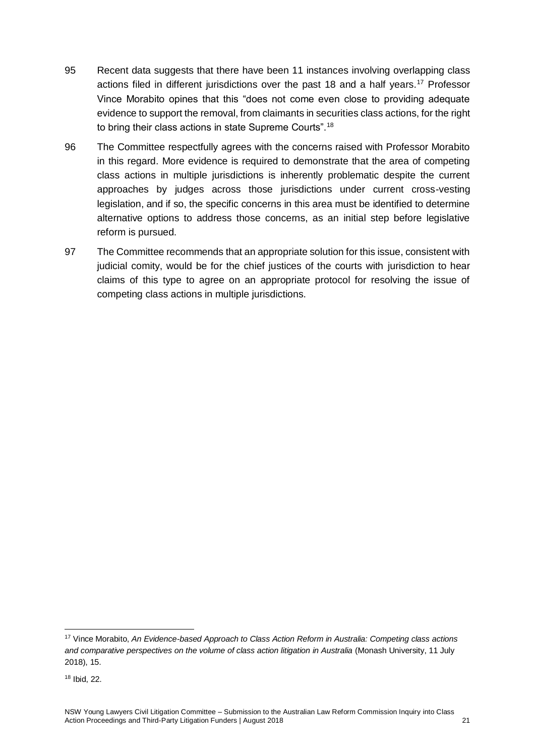- 95 Recent data suggests that there have been 11 instances involving overlapping class actions filed in different jurisdictions over the past 18 and a half years.<sup>17</sup> Professor Vince Morabito opines that this "does not come even close to providing adequate evidence to support the removal, from claimants in securities class actions, for the right to bring their class actions in state Supreme Courts".<sup>18</sup>
- 96 The Committee respectfully agrees with the concerns raised with Professor Morabito in this regard. More evidence is required to demonstrate that the area of competing class actions in multiple jurisdictions is inherently problematic despite the current approaches by judges across those jurisdictions under current cross-vesting legislation, and if so, the specific concerns in this area must be identified to determine alternative options to address those concerns, as an initial step before legislative reform is pursued.
- 97 The Committee recommends that an appropriate solution for this issue, consistent with judicial comity, would be for the chief justices of the courts with jurisdiction to hear claims of this type to agree on an appropriate protocol for resolving the issue of competing class actions in multiple jurisdictions.

<u>.</u>

<sup>17</sup> Vince Morabito, *An Evidence-based Approach to Class Action Reform in Australia: Competing class actions and comparative perspectives on the volume of class action litigation in Australia* (Monash University, 11 July 2018), 15.

<sup>18</sup> Ibid, 22.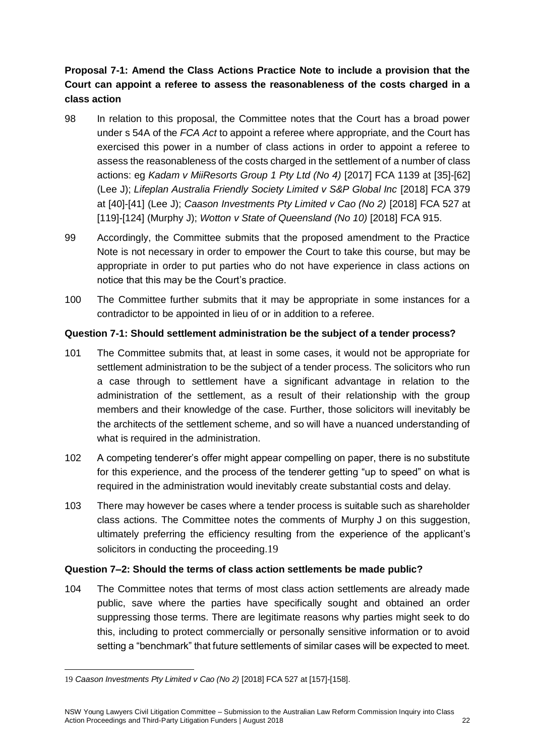# **Proposal 7-1: Amend the Class Actions Practice Note to include a provision that the Court can appoint a referee to assess the reasonableness of the costs charged in a class action**

- 98 In relation to this proposal, the Committee notes that the Court has a broad power under s 54A of the *FCA Act* to appoint a referee where appropriate, and the Court has exercised this power in a number of class actions in order to appoint a referee to assess the reasonableness of the costs charged in the settlement of a number of class actions: eg *[Kadam v MiiResorts Group 1 Pty Ltd \(No 4\)](https://jade.io/article/549163)* [2017] FCA 1139 at [\[35\]-\[62\]](https://jade.io/article/549163/section/743428) (Lee J); *Lifeplan Australia Friendly Society Limited v S&P Global Inc* [2018] FCA 379 at [\[40\]-\[41\]](https://jade.io/article/576426/section/5861) (Lee J); *Caason Investments Pty Limited v Cao (No 2)* [2018] FCA 527 at [119]-[124] (Murphy J); *Wotton v State of Queensland (No 10)* [2018] FCA 915.
- 99 Accordingly, the Committee submits that the proposed amendment to the Practice Note is not necessary in order to empower the Court to take this course, but may be appropriate in order to put parties who do not have experience in class actions on notice that this may be the Court's practice.
- 100 The Committee further submits that it may be appropriate in some instances for a contradictor to be appointed in lieu of or in addition to a referee.

## **Question 7-1: Should settlement administration be the subject of a tender process?**

- 101 The Committee submits that, at least in some cases, it would not be appropriate for settlement administration to be the subject of a tender process. The solicitors who run a case through to settlement have a significant advantage in relation to the administration of the settlement, as a result of their relationship with the group members and their knowledge of the case. Further, those solicitors will inevitably be the architects of the settlement scheme, and so will have a nuanced understanding of what is required in the administration.
- 102 A competing tenderer's offer might appear compelling on paper, there is no substitute for this experience, and the process of the tenderer getting "up to speed" on what is required in the administration would inevitably create substantial costs and delay.
- 103 There may however be cases where a tender process is suitable such as shareholder class actions. The Committee notes the comments of Murphy J on this suggestion, ultimately preferring the efficiency resulting from the experience of the applicant's solicitors in conducting the proceeding.19

## **Question 7–2: Should the terms of class action settlements be made public?**

104 The Committee notes that terms of most class action settlements are already made public, save where the parties have specifically sought and obtained an order suppressing those terms. There are legitimate reasons why parties might seek to do this, including to protect commercially or personally sensitive information or to avoid setting a "benchmark" that future settlements of similar cases will be expected to meet.

<sup>1</sup> 19 *Caason Investments Pty Limited v Cao (No 2)* [2018] FCA 527 at [157]-[158].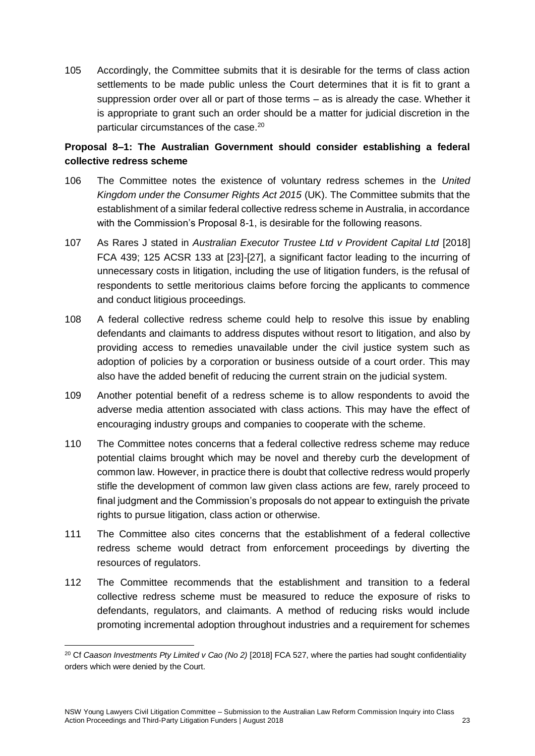105 Accordingly, the Committee submits that it is desirable for the terms of class action settlements to be made public unless the Court determines that it is fit to grant a suppression order over all or part of those terms – as is already the case. Whether it is appropriate to grant such an order should be a matter for judicial discretion in the particular circumstances of the case.<sup>20</sup>

## **Proposal 8–1: The Australian Government should consider establishing a federal collective redress scheme**

- 106 The Committee notes the existence of voluntary redress schemes in the *United Kingdom under the Consumer Rights Act 2015* (UK). The Committee submits that the establishment of a similar federal collective redress scheme in Australia, in accordance with the Commission's Proposal 8-1, is desirable for the following reasons.
- 107 As Rares J stated in *Australian Executor Trustee Ltd v Provident Capital Ltd* [2018] FCA 439; 125 ACSR 133 at [23]-[27], a significant factor leading to the incurring of unnecessary costs in litigation, including the use of litigation funders, is the refusal of respondents to settle meritorious claims before forcing the applicants to commence and conduct litigious proceedings.
- 108 A federal collective redress scheme could help to resolve this issue by enabling defendants and claimants to address disputes without resort to litigation, and also by providing access to remedies unavailable under the civil justice system such as adoption of policies by a corporation or business outside of a court order. This may also have the added benefit of reducing the current strain on the judicial system.
- 109 Another potential benefit of a redress scheme is to allow respondents to avoid the adverse media attention associated with class actions. This may have the effect of encouraging industry groups and companies to cooperate with the scheme.
- 110 The Committee notes concerns that a federal collective redress scheme may reduce potential claims brought which may be novel and thereby curb the development of common law. However, in practice there is doubt that collective redress would properly stifle the development of common law given class actions are few, rarely proceed to final judgment and the Commission's proposals do not appear to extinguish the private rights to pursue litigation, class action or otherwise.
- 111 The Committee also cites concerns that the establishment of a federal collective redress scheme would detract from enforcement proceedings by diverting the resources of regulators.
- 112 The Committee recommends that the establishment and transition to a federal collective redress scheme must be measured to reduce the exposure of risks to defendants, regulators, and claimants. A method of reducing risks would include promoting incremental adoption throughout industries and a requirement for schemes

<u>.</u>

<sup>20</sup> Cf *Caason Investments Pty Limited v Cao (No 2)* [2018] FCA 527, where the parties had sought confidentiality orders which were denied by the Court.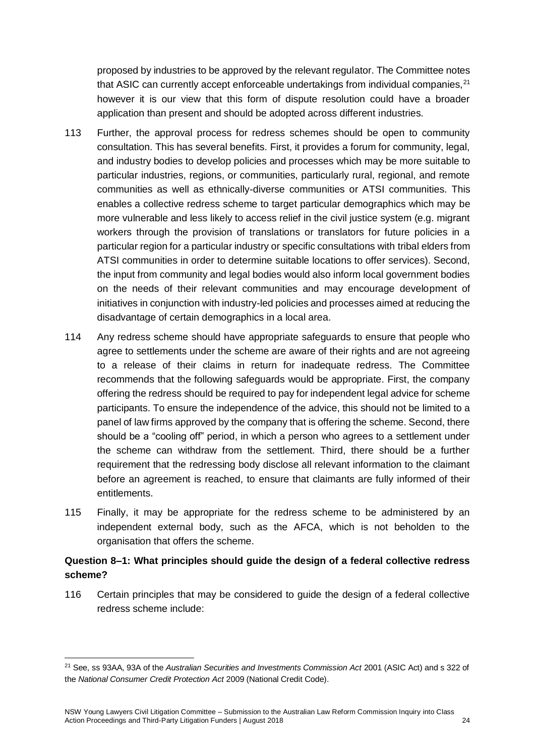proposed by industries to be approved by the relevant regulator. The Committee notes that ASIC can currently accept enforceable undertakings from individual companies, $^{21}$ however it is our view that this form of dispute resolution could have a broader application than present and should be adopted across different industries.

- 113 Further, the approval process for redress schemes should be open to community consultation. This has several benefits. First, it provides a forum for community, legal, and industry bodies to develop policies and processes which may be more suitable to particular industries, regions, or communities, particularly rural, regional, and remote communities as well as ethnically-diverse communities or ATSI communities. This enables a collective redress scheme to target particular demographics which may be more vulnerable and less likely to access relief in the civil justice system (e.g. migrant workers through the provision of translations or translators for future policies in a particular region for a particular industry or specific consultations with tribal elders from ATSI communities in order to determine suitable locations to offer services). Second, the input from community and legal bodies would also inform local government bodies on the needs of their relevant communities and may encourage development of initiatives in conjunction with industry-led policies and processes aimed at reducing the disadvantage of certain demographics in a local area.
- 114 Any redress scheme should have appropriate safeguards to ensure that people who agree to settlements under the scheme are aware of their rights and are not agreeing to a release of their claims in return for inadequate redress. The Committee recommends that the following safeguards would be appropriate. First, the company offering the redress should be required to pay for independent legal advice for scheme participants. To ensure the independence of the advice, this should not be limited to a panel of law firms approved by the company that is offering the scheme. Second, there should be a "cooling off" period, in which a person who agrees to a settlement under the scheme can withdraw from the settlement. Third, there should be a further requirement that the redressing body disclose all relevant information to the claimant before an agreement is reached, to ensure that claimants are fully informed of their entitlements.
- 115 Finally, it may be appropriate for the redress scheme to be administered by an independent external body, such as the AFCA, which is not beholden to the organisation that offers the scheme.

## **Question 8–1: What principles should guide the design of a federal collective redress scheme?**

116 Certain principles that may be considered to guide the design of a federal collective redress scheme include:

1

<sup>21</sup> See, ss 93AA, 93A of the *Australian Securities and Investments Commission Act* 2001 (ASIC Act) and s 322 of the *National Consumer Credit Protection Act* 2009 (National Credit Code).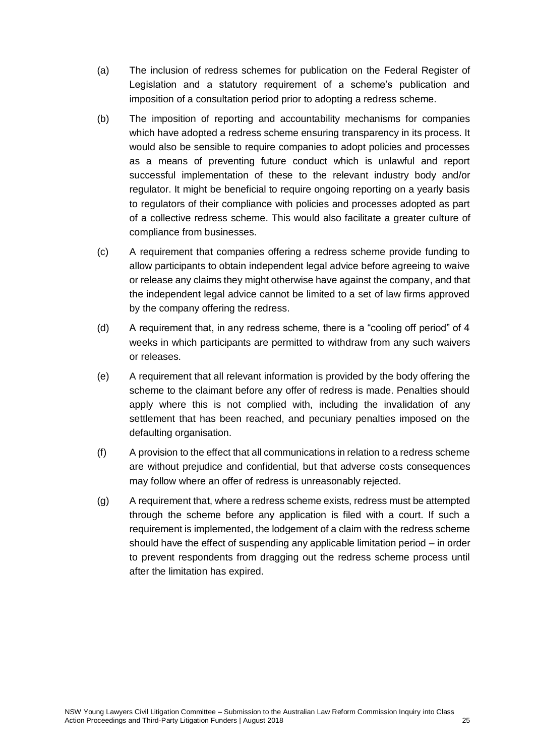- (a) The inclusion of redress schemes for publication on the Federal Register of Legislation and a statutory requirement of a scheme's publication and imposition of a consultation period prior to adopting a redress scheme.
- (b) The imposition of reporting and accountability mechanisms for companies which have adopted a redress scheme ensuring transparency in its process. It would also be sensible to require companies to adopt policies and processes as a means of preventing future conduct which is unlawful and report successful implementation of these to the relevant industry body and/or regulator. It might be beneficial to require ongoing reporting on a yearly basis to regulators of their compliance with policies and processes adopted as part of a collective redress scheme. This would also facilitate a greater culture of compliance from businesses.
- (c) A requirement that companies offering a redress scheme provide funding to allow participants to obtain independent legal advice before agreeing to waive or release any claims they might otherwise have against the company, and that the independent legal advice cannot be limited to a set of law firms approved by the company offering the redress.
- (d) A requirement that, in any redress scheme, there is a "cooling off period" of 4 weeks in which participants are permitted to withdraw from any such waivers or releases.
- (e) A requirement that all relevant information is provided by the body offering the scheme to the claimant before any offer of redress is made. Penalties should apply where this is not complied with, including the invalidation of any settlement that has been reached, and pecuniary penalties imposed on the defaulting organisation.
- (f) A provision to the effect that all communications in relation to a redress scheme are without prejudice and confidential, but that adverse costs consequences may follow where an offer of redress is unreasonably rejected.
- (g) A requirement that, where a redress scheme exists, redress must be attempted through the scheme before any application is filed with a court. If such a requirement is implemented, the lodgement of a claim with the redress scheme should have the effect of suspending any applicable limitation period – in order to prevent respondents from dragging out the redress scheme process until after the limitation has expired.